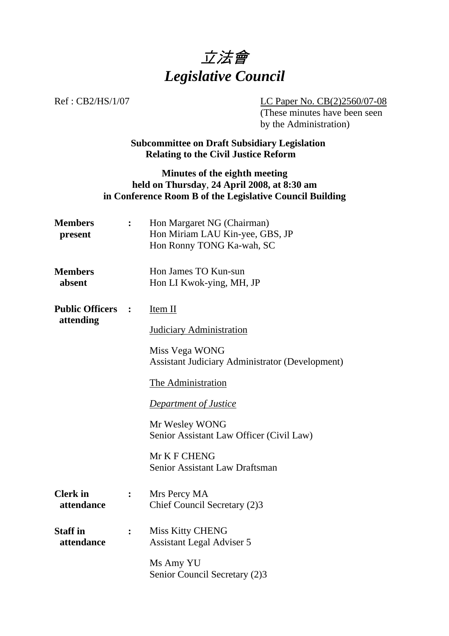

Ref : CB2/HS/1/07 LC Paper No. CB(2)2560/07-08 (These minutes have been seen by the Administration)

# **Subcommittee on Draft Subsidiary Legislation Relating to the Civil Justice Reform**

# **Minutes of the eighth meeting held on Thursday**, **24 April 2008, at 8:30 am in Conference Room B of the Legislative Council Building**

| <b>Members</b><br>present             | $\ddot{\cdot}$ | Hon Margaret NG (Chairman)<br>Hon Miriam LAU Kin-yee, GBS, JP<br>Hon Ronny TONG Ka-wah, SC |
|---------------------------------------|----------------|--------------------------------------------------------------------------------------------|
| <b>Members</b><br>absent              |                | Hon James TO Kun-sun<br>Hon LI Kwok-ying, MH, JP                                           |
| <b>Public Officers :</b><br>attending |                | Item II<br><b>Judiciary Administration</b>                                                 |
|                                       |                | Miss Vega WONG<br><b>Assistant Judiciary Administrator (Development)</b>                   |
|                                       |                | The Administration                                                                         |
|                                       |                | <b>Department of Justice</b>                                                               |
|                                       |                | Mr Wesley WONG<br>Senior Assistant Law Officer (Civil Law)                                 |
|                                       |                | Mr K F CHENG<br>Senior Assistant Law Draftsman                                             |
| <b>Clerk</b> in<br>attendance         | $\ddot{\cdot}$ | Mrs Percy MA<br>Chief Council Secretary (2)3                                               |
| <b>Staff in</b><br>attendance         | $\ddot{\cdot}$ | <b>Miss Kitty CHENG</b><br>Assistant Legal Adviser 5                                       |
|                                       |                | Ms Amy YU<br>Senior Council Secretary (2)3                                                 |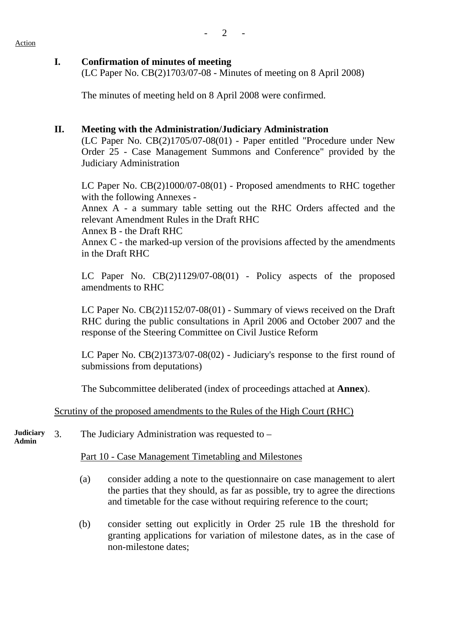# **I. Confirmation of minutes of meeting**

(LC Paper No. CB(2)1703/07-08 - Minutes of meeting on 8 April 2008)

The minutes of meeting held on 8 April 2008 were confirmed.

# **II. Meeting with the Administration/Judiciary Administration**

(LC Paper No. CB(2)1705/07-08(01) - Paper entitled "Procedure under New Order 25 - Case Management Summons and Conference" provided by the Judiciary Administration

LC Paper No. CB(2)1000/07-08(01) - Proposed amendments to RHC together with the following Annexes -

Annex A - a summary table setting out the RHC Orders affected and the relevant Amendment Rules in the Draft RHC

Annex B - the Draft RHC

Annex C - the marked-up version of the provisions affected by the amendments in the Draft RHC

 LC Paper No. CB(2)1129/07-08(01) - Policy aspects of the proposed amendments to RHC

LC Paper No. CB(2)1152/07-08(01) - Summary of views received on the Draft RHC during the public consultations in April 2006 and October 2007 and the response of the Steering Committee on Civil Justice Reform

 LC Paper No. CB(2)1373/07-08(02) - Judiciary's response to the first round of submissions from deputations)

The Subcommittee deliberated (index of proceedings attached at **Annex**).

Scrutiny of the proposed amendments to the Rules of the High Court (RHC)

**Judiciary Judiciary** 3. The Judiciary Administration was requested to – Admin

Part 10 - Case Management Timetabling and Milestones

- (a) consider adding a note to the questionnaire on case management to alert the parties that they should, as far as possible, try to agree the directions and timetable for the case without requiring reference to the court;
- (b) consider setting out explicitly in Order 25 rule 1B the threshold for granting applications for variation of milestone dates, as in the case of non-milestone dates;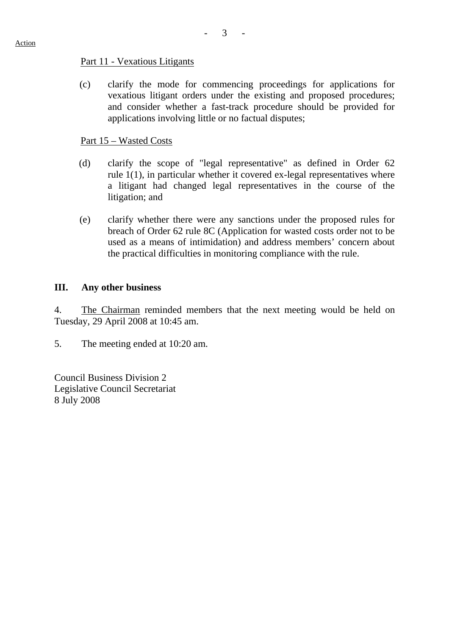### Part 11 - Vexatious Litigants

(c) clarify the mode for commencing proceedings for applications for vexatious litigant orders under the existing and proposed procedures; and consider whether a fast-track procedure should be provided for applications involving little or no factual disputes;

## Part 15 – Wasted Costs

- (d) clarify the scope of "legal representative" as defined in Order 62 rule 1(1), in particular whether it covered ex-legal representatives where a litigant had changed legal representatives in the course of the litigation; and
- (e) clarify whether there were any sanctions under the proposed rules for breach of Order 62 rule 8C (Application for wasted costs order not to be used as a means of intimidation) and address members' concern about the practical difficulties in monitoring compliance with the rule.

#### **III. Any other business**

4. The Chairman reminded members that the next meeting would be held on Tuesday, 29 April 2008 at 10:45 am.

5. The meeting ended at 10:20 am.

Council Business Division 2 Legislative Council Secretariat 8 July 2008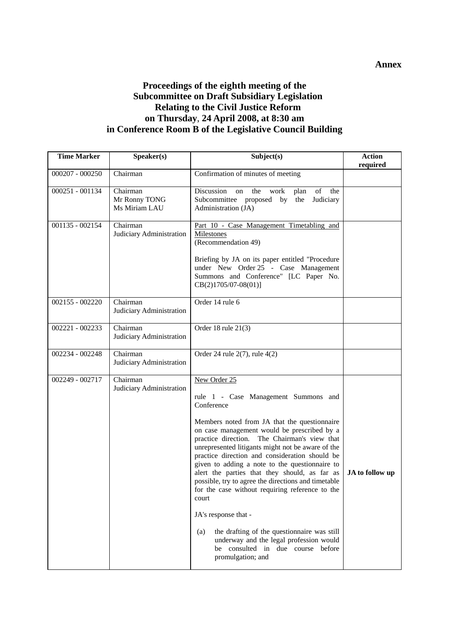### **Proceedings of the eighth meeting of the Subcommittee on Draft Subsidiary Legislation Relating to the Civil Justice Reform on Thursday**, **24 April 2008, at 8:30 am in Conference Room B of the Legislative Council Building**

| <b>Time Marker</b> | Speaker(s)                                 | Subject(s)                                                                                                                                                                                                                                                                                                                                                                                                                                                                                                                                                                                                                                                                                                                        | <b>Action</b><br>required |
|--------------------|--------------------------------------------|-----------------------------------------------------------------------------------------------------------------------------------------------------------------------------------------------------------------------------------------------------------------------------------------------------------------------------------------------------------------------------------------------------------------------------------------------------------------------------------------------------------------------------------------------------------------------------------------------------------------------------------------------------------------------------------------------------------------------------------|---------------------------|
| $000207 - 000250$  | Chairman                                   | Confirmation of minutes of meeting                                                                                                                                                                                                                                                                                                                                                                                                                                                                                                                                                                                                                                                                                                |                           |
| 000251 - 001134    | Chairman<br>Mr Ronny TONG<br>Ms Miriam LAU | Discussion<br>of<br>the<br>the<br>work<br>plan<br>on<br>Subcommittee proposed by the<br>Judiciary<br>Administration (JA)                                                                                                                                                                                                                                                                                                                                                                                                                                                                                                                                                                                                          |                           |
| 001135 - 002154    | Chairman<br>Judiciary Administration       | Part 10 - Case Management Timetabling and<br>Milestones<br>(Recommendation 49)<br>Briefing by JA on its paper entitled "Procedure<br>under New Order 25 - Case Management<br>Summons and Conference" [LC Paper No.<br>$CB(2)1705/07-08(01)]$                                                                                                                                                                                                                                                                                                                                                                                                                                                                                      |                           |
| 002155 - 002220    | Chairman<br>Judiciary Administration       | Order 14 rule 6                                                                                                                                                                                                                                                                                                                                                                                                                                                                                                                                                                                                                                                                                                                   |                           |
| 002221 - 002233    | Chairman<br>Judiciary Administration       | Order 18 rule 21(3)                                                                                                                                                                                                                                                                                                                                                                                                                                                                                                                                                                                                                                                                                                               |                           |
| 002234 - 002248    | Chairman<br>Judiciary Administration       | Order 24 rule 2(7), rule 4(2)                                                                                                                                                                                                                                                                                                                                                                                                                                                                                                                                                                                                                                                                                                     |                           |
| 002249 - 002717    | Chairman<br>Judiciary Administration       | New Order 25<br>rule 1 - Case Management Summons and<br>Conference<br>Members noted from JA that the questionnaire<br>on case management would be prescribed by a<br>practice direction. The Chairman's view that<br>unrepresented litigants might not be aware of the<br>practice direction and consideration should be<br>given to adding a note to the questionnaire to<br>alert the parties that they should, as far as<br>possible, try to agree the directions and timetable<br>for the case without requiring reference to the<br>court<br>JA's response that -<br>the drafting of the questionnaire was still<br>(a)<br>underway and the legal profession would<br>be consulted in due course before<br>promulgation; and | JA to follow up           |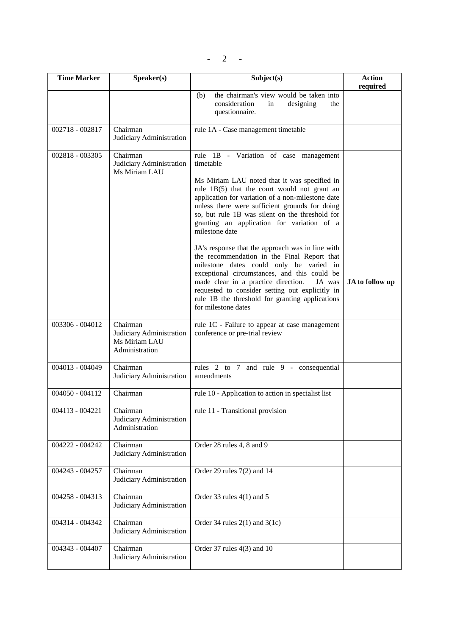$- 2 -$ 

| <b>Time Marker</b> | Speaker(s)                                                              | Subject(s)                                                                                                                                                                                                                                                                                                                                                                                                                                                                                                                                                                                                                                                                                                                                                | <b>Action</b><br>required |
|--------------------|-------------------------------------------------------------------------|-----------------------------------------------------------------------------------------------------------------------------------------------------------------------------------------------------------------------------------------------------------------------------------------------------------------------------------------------------------------------------------------------------------------------------------------------------------------------------------------------------------------------------------------------------------------------------------------------------------------------------------------------------------------------------------------------------------------------------------------------------------|---------------------------|
|                    |                                                                         | the chairman's view would be taken into<br>(b)<br>consideration<br>designing<br>the<br>in<br>questionnaire.                                                                                                                                                                                                                                                                                                                                                                                                                                                                                                                                                                                                                                               |                           |
| 002718 - 002817    | Chairman<br>Judiciary Administration                                    | rule 1A - Case management timetable                                                                                                                                                                                                                                                                                                                                                                                                                                                                                                                                                                                                                                                                                                                       |                           |
| 002818 - 003305    | Chairman<br>Judiciary Administration<br>Ms Miriam LAU                   | rule 1B - Variation of case management<br>timetable<br>Ms Miriam LAU noted that it was specified in<br>rule 1B(5) that the court would not grant an<br>application for variation of a non-milestone date<br>unless there were sufficient grounds for doing<br>so, but rule 1B was silent on the threshold for<br>granting an application for variation of a<br>milestone date<br>JA's response that the approach was in line with<br>the recommendation in the Final Report that<br>milestone dates could only be varied in<br>exceptional circumstances, and this could be<br>made clear in a practice direction.<br>JA was<br>requested to consider setting out explicitly in<br>rule 1B the threshold for granting applications<br>for milestone dates | JA to follow up           |
| 003306 - 004012    | Chairman<br>Judiciary Administration<br>Ms Miriam LAU<br>Administration | rule 1C - Failure to appear at case management<br>conference or pre-trial review                                                                                                                                                                                                                                                                                                                                                                                                                                                                                                                                                                                                                                                                          |                           |
| 004013 - 004049    | Chairman<br>Judiciary Administration                                    | rules 2 to 7 and rule 9 - consequential<br>amendments                                                                                                                                                                                                                                                                                                                                                                                                                                                                                                                                                                                                                                                                                                     |                           |
| 004050 - 004112    | Chairman                                                                | rule 10 - Application to action in specialist list                                                                                                                                                                                                                                                                                                                                                                                                                                                                                                                                                                                                                                                                                                        |                           |
| 004113 - 004221    | Chairman<br>Judiciary Administration<br>Administration                  | rule 11 - Transitional provision                                                                                                                                                                                                                                                                                                                                                                                                                                                                                                                                                                                                                                                                                                                          |                           |
| 004222 - 004242    | Chairman<br>Judiciary Administration                                    | Order 28 rules 4, 8 and 9                                                                                                                                                                                                                                                                                                                                                                                                                                                                                                                                                                                                                                                                                                                                 |                           |
| 004243 - 004257    | Chairman<br>Judiciary Administration                                    | Order 29 rules 7(2) and 14                                                                                                                                                                                                                                                                                                                                                                                                                                                                                                                                                                                                                                                                                                                                |                           |
| 004258 - 004313    | Chairman<br>Judiciary Administration                                    | Order 33 rules $4(1)$ and 5                                                                                                                                                                                                                                                                                                                                                                                                                                                                                                                                                                                                                                                                                                                               |                           |
| 004314 - 004342    | Chairman<br>Judiciary Administration                                    | Order 34 rules $2(1)$ and $3(1c)$                                                                                                                                                                                                                                                                                                                                                                                                                                                                                                                                                                                                                                                                                                                         |                           |
| 004343 - 004407    | Chairman<br>Judiciary Administration                                    | Order 37 rules 4(3) and 10                                                                                                                                                                                                                                                                                                                                                                                                                                                                                                                                                                                                                                                                                                                                |                           |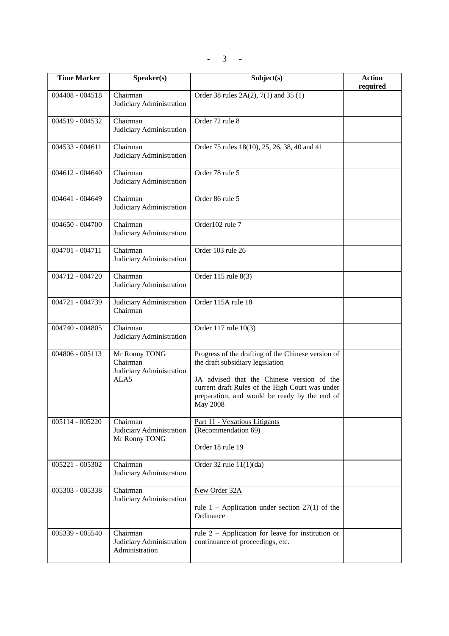| <b>Time Marker</b> | Speaker(s)                                                    | Subject(s)                                                                                                                                                                                                                                                  | <b>Action</b><br>required |
|--------------------|---------------------------------------------------------------|-------------------------------------------------------------------------------------------------------------------------------------------------------------------------------------------------------------------------------------------------------------|---------------------------|
| 004408 - 004518    | Chairman<br>Judiciary Administration                          | Order 38 rules 2A(2), 7(1) and 35 (1)                                                                                                                                                                                                                       |                           |
| $004519 - 004532$  | Chairman<br>Judiciary Administration                          | Order 72 rule 8                                                                                                                                                                                                                                             |                           |
| $004533 - 004611$  | Chairman<br>Judiciary Administration                          | Order 75 rules 18(10), 25, 26, 38, 40 and 41                                                                                                                                                                                                                |                           |
| 004612 - 004640    | Chairman<br>Judiciary Administration                          | Order 78 rule 5                                                                                                                                                                                                                                             |                           |
| 004641 - 004649    | Chairman<br>Judiciary Administration                          | Order 86 rule 5                                                                                                                                                                                                                                             |                           |
| 004650 - 004700    | Chairman<br>Judiciary Administration                          | Order102 rule 7                                                                                                                                                                                                                                             |                           |
| 004701 - 004711    | Chairman<br>Judiciary Administration                          | Order 103 rule 26                                                                                                                                                                                                                                           |                           |
| 004712 - 004720    | Chairman<br>Judiciary Administration                          | Order 115 rule 8(3)                                                                                                                                                                                                                                         |                           |
| 004721 - 004739    | Judiciary Administration<br>Chairman                          | Order 115A rule 18                                                                                                                                                                                                                                          |                           |
| 004740 - 004805    | Chairman<br>Judiciary Administration                          | Order 117 rule 10(3)                                                                                                                                                                                                                                        |                           |
| 004806 - 005113    | Mr Ronny TONG<br>Chairman<br>Judiciary Administration<br>ALA5 | Progress of the drafting of the Chinese version of<br>the draft subsidiary legislation<br>JA advised that the Chinese version of the<br>current draft Rules of the High Court was under<br>preparation, and would be ready by the end of<br><b>May 2008</b> |                           |
| 005114 - 005220    | Chairman<br>Judiciary Administration<br>Mr Ronny TONG         | Part 11 - Vexatious Litigants<br>(Recommendation 69)<br>Order 18 rule 19                                                                                                                                                                                    |                           |
| 005221 - 005302    | Chairman<br>Judiciary Administration                          | Order 32 rule 11(1)(da)                                                                                                                                                                                                                                     |                           |
| 005303 - 005338    | Chairman<br>Judiciary Administration                          | New Order 32A<br>rule $1$ – Application under section 27(1) of the<br>Ordinance                                                                                                                                                                             |                           |
| 005339 - 005540    | Chairman<br>Judiciary Administration<br>Administration        | rule $2$ – Application for leave for institution or<br>continuance of proceedings, etc.                                                                                                                                                                     |                           |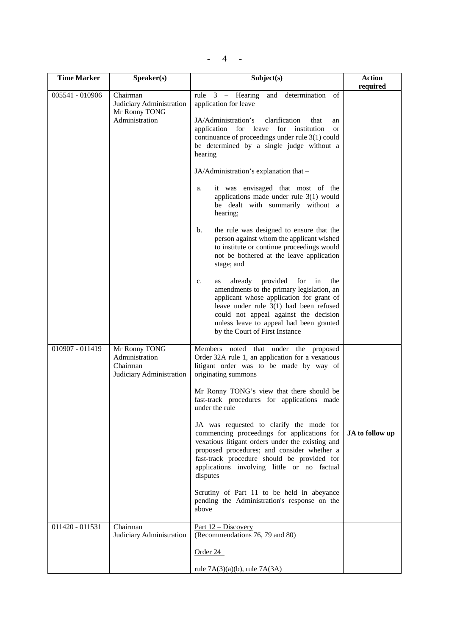| <b>Time Marker</b> | Speaker(s)                                                              | Subject(s)                                                                                                                                                                                                                                                                                                                                                                                                                                                                                                                                                                                                                                                                                                                                                                                                                                                                                                                                                                                                       | <b>Action</b><br>required |
|--------------------|-------------------------------------------------------------------------|------------------------------------------------------------------------------------------------------------------------------------------------------------------------------------------------------------------------------------------------------------------------------------------------------------------------------------------------------------------------------------------------------------------------------------------------------------------------------------------------------------------------------------------------------------------------------------------------------------------------------------------------------------------------------------------------------------------------------------------------------------------------------------------------------------------------------------------------------------------------------------------------------------------------------------------------------------------------------------------------------------------|---------------------------|
| 005541 - 010906    | Chairman<br>Judiciary Administration<br>Mr Ronny TONG<br>Administration | rule 3 - Hearing and determination of<br>application for leave<br>JA/Administration's<br>clarification<br>that<br>an<br>application for<br>leave<br>for<br>institution<br><b>or</b><br>continuance of proceedings under rule 3(1) could<br>be determined by a single judge without a<br>hearing<br>JA/Administration's explanation that -<br>it was envisaged that most of the<br>a.<br>applications made under rule $3(1)$ would<br>be dealt with summarily without a<br>hearing;<br>the rule was designed to ensure that the<br>$\mathbf{b}$ .<br>person against whom the applicant wished<br>to institute or continue proceedings would<br>not be bothered at the leave application<br>stage; and<br>already provided for<br>in<br>the<br>c.<br>as<br>amendments to the primary legislation, an<br>applicant whose application for grant of<br>leave under rule $3(1)$ had been refused<br>could not appeal against the decision<br>unless leave to appeal had been granted<br>by the Court of First Instance |                           |
| 010907 - 011419    | Mr Ronny TONG<br>Administration<br>Chairman<br>Judiciary Administration | Members noted that under the proposed<br>Order 32A rule 1, an application for a vexatious<br>litigant order was to be made by way of<br>originating summons<br>Mr Ronny TONG's view that there should be<br>fast-track procedures for applications made<br>under the rule<br>JA was requested to clarify the mode for<br>commencing proceedings for applications for<br>vexatious litigant orders under the existing and<br>proposed procedures; and consider whether a<br>fast-track procedure should be provided for<br>applications involving little or no factual<br>disputes<br>Scrutiny of Part 11 to be held in abeyance<br>pending the Administration's response on the<br>above                                                                                                                                                                                                                                                                                                                         | JA to follow up           |
| 011420 - 011531    | Chairman<br>Judiciary Administration                                    | Part 12 - Discovery<br>(Recommendations 76, 79 and 80)<br>Order 24<br>rule $7A(3)(a)(b)$ , rule $7A(3A)$                                                                                                                                                                                                                                                                                                                                                                                                                                                                                                                                                                                                                                                                                                                                                                                                                                                                                                         |                           |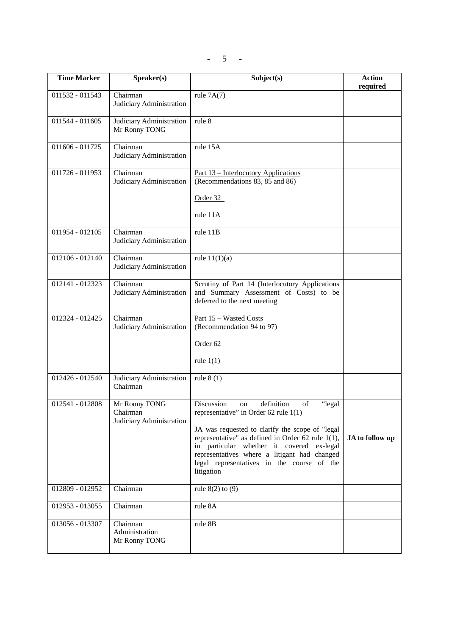| <b>Time Marker</b> | Speaker(s)                                            | Subject(s)                                                                                                                                                                                                                                                                                                                                                    | <b>Action</b><br>required |
|--------------------|-------------------------------------------------------|---------------------------------------------------------------------------------------------------------------------------------------------------------------------------------------------------------------------------------------------------------------------------------------------------------------------------------------------------------------|---------------------------|
| 011532 - 011543    | Chairman<br>Judiciary Administration                  | rule $7A(7)$                                                                                                                                                                                                                                                                                                                                                  |                           |
| 011544 - 011605    | Judiciary Administration<br>Mr Ronny TONG             | rule 8                                                                                                                                                                                                                                                                                                                                                        |                           |
| $011606 - 011725$  | Chairman<br>Judiciary Administration                  | rule 15A                                                                                                                                                                                                                                                                                                                                                      |                           |
| $011726 - 011953$  | Chairman<br>Judiciary Administration                  | <u>Part 13 – Interlocutory Applications</u><br>(Recommendations 83, 85 and 86)<br>Order 32<br>rule 11A                                                                                                                                                                                                                                                        |                           |
| 011954 - 012105    | Chairman<br>Judiciary Administration                  | rule 11B                                                                                                                                                                                                                                                                                                                                                      |                           |
| 012106 - 012140    | Chairman<br>Judiciary Administration                  | rule $11(1)(a)$                                                                                                                                                                                                                                                                                                                                               |                           |
| 012141 - 012323    | Chairman<br>Judiciary Administration                  | Scrutiny of Part 14 (Interlocutory Applications<br>and Summary Assessment of Costs) to be<br>deferred to the next meeting                                                                                                                                                                                                                                     |                           |
| 012324 - 012425    | Chairman<br>Judiciary Administration                  | <u>Part 15 - Wasted Costs</u><br>(Recommendation 94 to 97)<br>Order 62<br>rule $1(1)$                                                                                                                                                                                                                                                                         |                           |
| 012426 - 012540    | Judiciary Administration<br>Chairman                  | rule $8(1)$                                                                                                                                                                                                                                                                                                                                                   |                           |
| 012541 - 012808    | Mr Ronny TONG<br>Chairman<br>Judiciary Administration | definition<br>"legal<br>Discussion<br>of<br>on<br>representative" in Order 62 rule 1(1)<br>JA was requested to clarify the scope of "legal<br>representative" as defined in Order $62$ rule $1(1)$ ,<br>in particular whether it covered ex-legal<br>representatives where a litigant had changed<br>legal representatives in the course of the<br>litigation | JA to follow up           |
| 012809 - 012952    | Chairman                                              | rule $8(2)$ to $(9)$                                                                                                                                                                                                                                                                                                                                          |                           |
| 012953 - 013055    | Chairman                                              | rule 8A                                                                                                                                                                                                                                                                                                                                                       |                           |
| 013056 - 013307    | Chairman<br>Administration<br>Mr Ronny TONG           | rule 8B                                                                                                                                                                                                                                                                                                                                                       |                           |